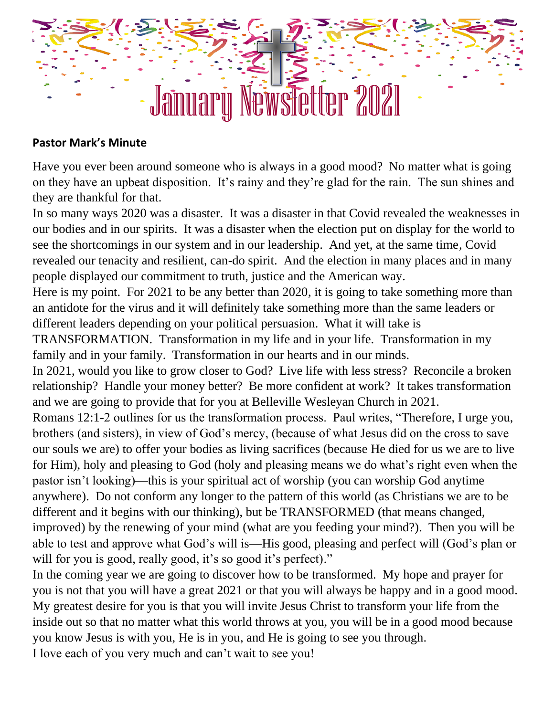## January Newsletter 2021

## **Pastor Mark's Minute**

Have you ever been around someone who is always in a good mood? No matter what is going on they have an upbeat disposition. It's rainy and they're glad for the rain. The sun shines and they are thankful for that.

In so many ways 2020 was a disaster. It was a disaster in that Covid revealed the weaknesses in our bodies and in our spirits. It was a disaster when the election put on display for the world to see the shortcomings in our system and in our leadership. And yet, at the same time, Covid revealed our tenacity and resilient, can-do spirit. And the election in many places and in many people displayed our commitment to truth, justice and the American way.

Here is my point. For 2021 to be any better than 2020, it is going to take something more than an antidote for the virus and it will definitely take something more than the same leaders or different leaders depending on your political persuasion. What it will take is

TRANSFORMATION. Transformation in my life and in your life. Transformation in my family and in your family. Transformation in our hearts and in our minds.

In 2021, would you like to grow closer to God? Live life with less stress? Reconcile a broken relationship? Handle your money better? Be more confident at work? It takes transformation and we are going to provide that for you at Belleville Wesleyan Church in 2021.

Romans 12:1-2 outlines for us the transformation process. Paul writes, "Therefore, I urge you, brothers (and sisters), in view of God's mercy, (because of what Jesus did on the cross to save our souls we are) to offer your bodies as living sacrifices (because He died for us we are to live for Him), holy and pleasing to God (holy and pleasing means we do what's right even when the pastor isn't looking)—this is your spiritual act of worship (you can worship God anytime anywhere). Do not conform any longer to the pattern of this world (as Christians we are to be different and it begins with our thinking), but be TRANSFORMED (that means changed, improved) by the renewing of your mind (what are you feeding your mind?). Then you will be able to test and approve what God's will is—His good, pleasing and perfect will (God's plan or will for you is good, really good, it's so good it's perfect)."

In the coming year we are going to discover how to be transformed. My hope and prayer for you is not that you will have a great 2021 or that you will always be happy and in a good mood. My greatest desire for you is that you will invite Jesus Christ to transform your life from the inside out so that no matter what this world throws at you, you will be in a good mood because you know Jesus is with you, He is in you, and He is going to see you through.

I love each of you very much and can't wait to see you!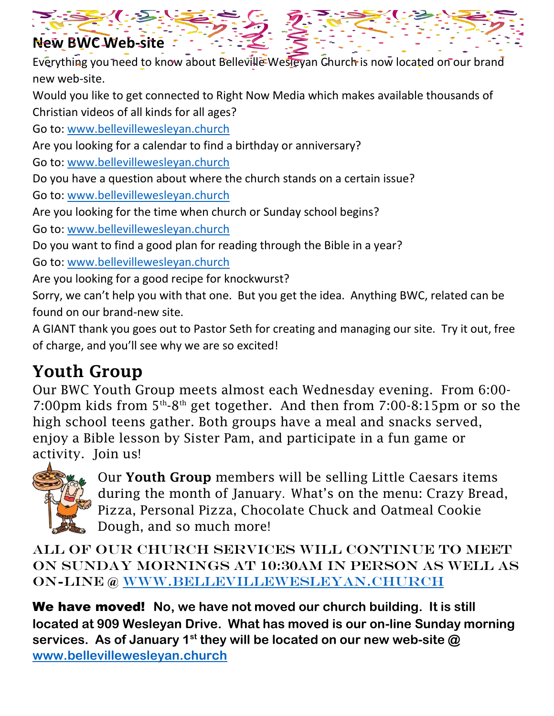

Everything you need to know about Belleville Wesleyan Church is now located on our brand new web-site.

Would you like to get connected to Right Now Media which makes available thousands of Christian videos of all kinds for all ages?

Go to: [www.bellevillewesleyan.church](http://www.bellevillewesleyan.church/) 

Are you looking for a calendar to find a birthday or anniversary?

Go to: [www.bellevillewesleyan.church](http://www.bellevillewesleyan.church/) 

Do you have a question about where the church stands on a certain issue?

Go to: [www.bellevillewesleyan.church](http://www.bellevillewesleyan.church/) 

Are you looking for the time when church or Sunday school begins?

Go to: [www.bellevillewesleyan.church](http://www.bellevillewesleyan.church/) 

Do you want to find a good plan for reading through the Bible in a year?

Go to: [www.bellevillewesleyan.church](http://www.bellevillewesleyan.church/) 

Are you looking for a good recipe for knockwurst?

Sorry, we can't help you with that one. But you get the idea. Anything BWC, related can be found on our brand-new site.

A GIANT thank you goes out to Pastor Seth for creating and managing our site. Try it out, free of charge, and you'll see why we are so excited!

## Youth Group

Our BWC Youth Group meets almost each Wednesday evening. From 6:00- 7:00pm kids from  $5<sup>th</sup>$ -8<sup>th</sup> get together. And then from 7:00-8:15pm or so the high school teens gather. Both groups have a meal and snacks served, enjoy a Bible lesson by Sister Pam, and participate in a fun game or activity. Join us!



Our Youth Group members will be selling Little Caesars items during the month of January. What's on the menu: Crazy Bread, Pizza, Personal Pizza, Chocolate Chuck and Oatmeal Cookie Dough, and so much more!

[All o](https://www.eoi.es/blogs/juancarloscuevas/2012/05/12/3-ejemplos-de-innovacion/)f our church services will continue to meet on Sunday mornings at 10:30am in person as well as on[-lin](https://creativecommons.org/licenses/by-nc-sa/3.0/)e @ [www.bellevillewesleyan.church](http://www.bellevillewesleyan.church/)

[We h](https://creativecommons.org/licenses/by-nc-sa/3.0/)ave moved! **No, we have not moved our church building. It is still located at 909 Wesleyan Drive. What has moved is our on-line Sunday morning services. As of January 1st they will be located on our new web-site @ [www.bellevillewesleyan.church](http://www.bellevillewesleyan.church/)**